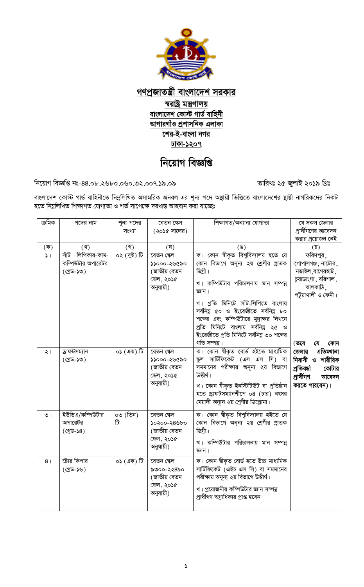

গণপ্ৰজাতন্ত্ৰী বাংলাদেশ সরকার স্বরাষ্ট্র মন্ত্রণালয় বাংলাদেশ কোস্ট গার্ড বাহিনী আগারগাঁও প্রশাসনিক এলাকা শের-ই-বাংলা নগর ঢাকা-১২০৭

## নিয়োগ বিজ্ঞপ্তি

নিয়োগ বিজ্ঞপ্তি নং-88.০৮.২৬৮০.০৬০.৩২.০০৭.১৯.০৯

তারিখঃ ২৫ জুলাই ২০১৯ খ্রিঃ

বাংলাদেশ কোস্ট গার্ড বাহিনীতে নিম্নলিখিত অসামরিক জনবল এর শূন্য পদে অন্থায়ী ভিত্তিতে বাংলাদেশের স্থায়ী নাগরিকদের নিকট হতে নিম্নলিখিত শিক্ষাগত যোগ্যতা ও শর্ত সাপেক্ষে দরখান্ত আহবান করা যাচ্ছেঃ

| ক্ৰমিক              | পদের নাম             | শূন্য পদের  | বেতন ক্ষেল                 | শিক্ষাগত/অন্যান্য যোগ্যতা                                                    | যে সকল জেলার                           |
|---------------------|----------------------|-------------|----------------------------|------------------------------------------------------------------------------|----------------------------------------|
|                     |                      | সংখ্যা      | (২০১৫ সালের)               |                                                                              | প্রার্থীগণের আবেদন                     |
|                     |                      |             |                            |                                                                              | করার প্রয়োজন নেই                      |
| $(\overline{\Phi})$ | (খ)                  | $($ গ)      | (ঘ)                        | (ঙ)                                                                          | $(\mathfrak{D})$                       |
| $\sqrt{ }$          | সাঁট<br>লিপিকার-কাম- | ০২ (দুই) টি | বেতন ক্ষেল                 | ক। কোন শ্বীকৃত বিশুবিদ্যালয় হতে যে                                          | ফরিদপুর,                               |
|                     | কম্পিউটার অপারেটর    |             | ১১০০০-২৬৫৯০                | কোন বিভাগে অনূন্য ২য় শ্রেণীর স্নাতক                                         | গোপালগঞ্জ, নাটোর,                      |
|                     | (গ্ৰেড-১৩)           |             | (জাতীয় বেতন               | ডিগ্ৰী।                                                                      | নড়াইল,বাগেরহাট,                       |
|                     |                      |             | ক্ষেল, ২০১৫                | খ। কম্পিউটার পরিচালনায় মান সম্পন্ন                                          | চুয়াডাংগা, বরিশাল,                    |
|                     |                      |             | অনুযায়ী)                  | জ্ঞান।                                                                       | ঝালকাঠি,                               |
|                     |                      |             |                            |                                                                              | পটুয়াখালী ও ফেনী।                     |
|                     |                      |             |                            | গ। প্রতি মিনিটে সাঁট-লিপিতে বাংলায়                                          |                                        |
|                     |                      |             |                            | সর্বনিম্ন ৫০ ও ইংরেজীতে সর্বনিম্ন ৮০                                         |                                        |
|                     |                      |             |                            | শব্দের এবং কম্পিউটারে মুদ্রাক্ষর লিখনে                                       |                                        |
|                     |                      |             |                            | প্রতি মিনিটে বাংলায় সর্বনিম্ন ২৫ ও                                          |                                        |
|                     |                      |             |                            | ইংরেজীতে প্রতি মিনিটে সর্বনিম্ন ৩০ শব্দের<br>গতি সম্পন্ন।                    |                                        |
|                     | ড্ৰাফটসম্যান         | ০১ (এক) টি  | বেতন ক্ষেল                 | ক। কোন শ্বীকৃত বোৰ্ড হইতে মাধ্যমিক                                           | (তবে<br>কোন<br>যে<br>এতিমখানা<br>জেলার |
| $\lambda$           | (গ্ৰেড-১৩)           |             | ১১০০০-২৬৫৯০                | ক্ষুল সার্টিফিকেট (এস এস সি) বা                                              | নিবাসী ও শারীরিক                       |
|                     |                      |             | (জাতীয় বেতন               | সমমানের পরীক্ষায় অনূন্য ২য় বিভাগে                                          | প্ৰতিবন্ধা<br>কোটার                    |
|                     |                      |             | ক্ষেল, ২০১৫                | উত্তীৰ্ণ।                                                                    | প্ৰাৰ্থীগণ                             |
|                     |                      |             | অনুযায়ী)                  |                                                                              | আবেদন                                  |
|                     |                      |             |                            | খ। কোন শ্বীকৃত ইনস্টিটিউট বা প্ৰতিষ্ঠান                                      | করতে পারবেন)।                          |
|                     |                      |             |                            | হতে ড্রাফটসম্যানশীপে ০৪ (চার) বৎসর                                           |                                        |
|                     |                      |             |                            | মেয়াদী অন্যূন ২য় শ্রেণীর ডিপ্লোমা।                                         |                                        |
| $\circ$             | ইউডিএ/কম্পিউটার      | ০৩ (তিন)    | বেতন ক্ষেল                 | ক। কোন শ্বীকৃত বিশুবিদ্যালয় হইতে যে                                         |                                        |
|                     | অপারেটর              | টি          | ১০২০০-২৪৬৮০                | কোন বিভাগে অনূন্য ২য় শ্রেণীর স্নাতক                                         |                                        |
|                     | (গ্ৰেড-১৪)           |             | (জাতীয় বেতন               | ডিগ্রী।                                                                      |                                        |
|                     |                      |             | ক্ষেল, ২০১৫                | খ। কম্পিউটার পরিচালনায় মান সম্পন্ন                                          |                                        |
|                     |                      |             | অনুযায়ী)                  | জ্ঞান।                                                                       |                                        |
|                     |                      |             |                            |                                                                              |                                        |
| 8 <sub>1</sub>      | ষ্টোর কিপার          | ০১ (এক) টি  | বেতন ক্ষেল                 | ক। কোন শ্বীকৃত বোর্ড হতে উচ্চ মাধ্যমিক<br>সার্টিফিকেট (এইচ এস সি) বা সমমানের |                                        |
|                     | (গ্ৰেড-১৬)           |             | ৯৩০০-২২৪৯০<br>(জাতীয় বেতন | পরীক্ষায় অনূন্য ২য় বিভাগে উত্তীর্ণ।                                        |                                        |
|                     |                      |             | ক্ষেল, ২০১৫                |                                                                              |                                        |
|                     |                      |             | অনুযায়ী)                  | খ। প্রয়োজনীয় কম্পিউটার জ্ঞান সম্পন্ন                                       |                                        |
|                     |                      |             |                            | প্রার্থীগণ অগ্রাধিকার প্রাপ্ত হবেন।                                          |                                        |
|                     |                      |             |                            |                                                                              |                                        |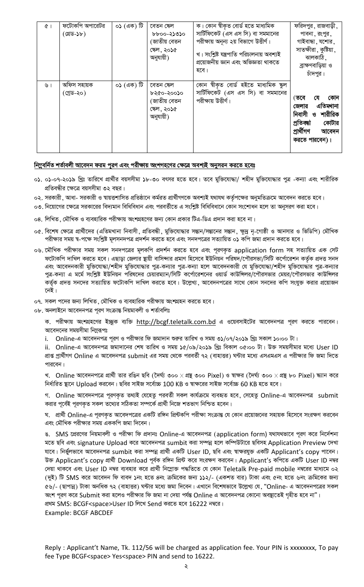| $\alpha$ | ফটোকপি অপারেটর<br>(গ্ৰেড-১৮) | $\sigma$ ১ (এক) টি | বেতন ক্ষেল<br>১৮০০-২১৩১০<br>(জাতীয় বেতন<br>ক্ষেল, ২০১৫<br>অনুযায়ী) | ক। কোন শ্বীকৃত বোর্ড হতে মাধ্যমিক<br>সার্টিফিকেট (এস এস সি) বা সমমানের<br>পরীক্ষায় অনূন্য ২য় বিভাগে উত্তীর্ণ।<br>খ। সংশ্লিষ্ট যন্ত্ৰপাতি পরিচালনায় অবশ্যই<br>প্ৰয়োজনীয় জ্ঞান এবং অভিজ্ঞতা থাকতে<br>হবে। | ফরিদপুর, রাজবাড়ী,<br>পাবনা , রংপুর ,<br>গাইবান্ধা , যশোর ,<br>সাতক্ষীরা, কুষ্টিয়া,<br>ঝালকাঠি ,<br>ব্রাক্ষণবাড়িয়া ও<br>চাঁদপুর। |
|----------|------------------------------|--------------------|----------------------------------------------------------------------|--------------------------------------------------------------------------------------------------------------------------------------------------------------------------------------------------------------|-------------------------------------------------------------------------------------------------------------------------------------|
| ৬।       | অফিস সহায়ক<br>(গ্ৰেড-২০)    | ০১ (এক) টি         | বেতন ক্ষেল<br>৮২৫০-২০০১০<br>(জাতীয় বেতন<br>ক্ষেল, ২০১৫<br>অনুযায়ী) | কোন শ্বীকৃত বোৰ্ড হইতে মাধ্যমিক ক্ষুল<br>সার্টিফিকেট (এস এস সি) বা সমমানের<br>পরীক্ষায় উত্তীর্ণ।                                                                                                            | কোন<br>(তবে<br>যে<br>এতিমখানা<br>জেলার<br>শারীরিক<br>নিবাসী ও<br>প্ৰতিবন্ধা<br>কোটার<br>প্ৰাৰ্থীগণ<br>আবেদন<br>করতে পারবেন)।        |

## নিমুবর্নিত শর্তাবলী আবেদন ফরম পূরণ এবং পরীক্ষায় অংশগহণের ক্ষেত্রে অবশ্যই অনুসরন করতে হবেঃ

- 0১. ০১-০৭-২০১৯ খ্রিঃ তারিখে প্রার্থীর বয়সসীমা ১৮-৩০ বৎসর হতে হবে। তবে মুক্তিযোদ্ধা/ শহীদ মুক্তিযোদ্ধার পুত্র -কন্যা এবং শারীরিক প্রতিবন্ধীর ক্ষেত্রে বয়সসীমা ৩২ বছর।
- ০২. সরকারী, আধা- সরকারী ও স্বায়ত্তশাসিত প্রতিষ্ঠানে কর্মরত প্রার্থীগণকে অবশ্যই যথাযথ কর্তৃপক্ষের অনুমতিক্রমে আবেদন করতে হবে।
- ০৩. নিয়োগের ক্ষেত্রে সরকারের বিদ্যমান বিধিবিধান এবং পরবর্তীতে এ সংশ্লিষ্ট বিধিবিধানে কোন সংশোধন হলে তা অনুসরণ করা হবে।
- 08. লিখিত , মৌখিক ও ব্যবহারিক পরীক্ষায় অংশগ্রহণের জন্য কোন প্রকার টিএ-ডিএ প্রদান করা হবে না।
- ০৫. বিশেষ ক্ষেত্রে প্রার্থীদের (এতিমখানা নিবাসী, প্রতিবন্ধী, মুক্তিযোদ্ধার সম্ভান/সম্ভানের সম্ভান, ক্ষুদ্র নৃ-গোষ্ঠী ও আনসার ও ভিডিপি) মৌখিক পরীক্ষার সময় শ্ব-পক্ষে সংশ্লিষ্ট মূলসনদপত্র প্রদর্শন করতে হবে এবং সনদপত্রের সত্যায়িত ০**১** কপি জমা প্রদান করতে হবে।
- ০৬. মৌখিক পরীক্ষার সময় সকল সনদপত্রের মূলকপি প্রদর্শন করতে হবে এবং পূরণকৃত application form সহ সত্যায়িত এক সেট ফটোকপি দাখিল করতে হবে। এছাড়া জেলার ষ্থায়ী বাসিন্দার প্রমাণ হিসেবে ইউনিয়ন পরিষদ/পৌরসভা/সিটি কর্পোরেশন কর্তৃক প্রদত্ত সনদ এবং আবেদনকারী মুক্তিযোদ্ধা/শহীদ মুক্তিযোদ্ধার পুত্র-কন্যার পুত্র-কন্যা হলে আবেদনকারী যে মুক্তিযোদ্ধা/শহীদ মুক্তিযোদ্ধার পুত্র-কন্যার পুত্র-কন্যা এ মর্মে সংশ্লিষ্ট ইউনিয়ন পরিষদের চেয়ারম্যান/সিটি কর্পোরেশনের ওয়ার্ড কাউন্সিলর/পৌরসভার মেয়র/পৌরসভার কাউন্সিলর কর্তৃক প্রদত্ত সনদের সত্যায়িত ফটোকপি দাখিল করতে হবে। উল্লেখ্য, আবেদনপত্রের সাথে কোন সনদের কপি সংযুক্ত করার প্রয়োজন নেই।
- ০৭. সকল পদের জন্য লিখিত, মৌখিক ও ব্যবহারিক পরীক্ষায় অংশগ্রহন করতে হবে।
- ob. অনলাইনে আবেদনপত্ৰ পূরণ সংক্রান্ত নিয়মাবলী ও শর্তাবলিঃ

ক. পরীক্ষায় অংশগ্রহণের ইচ্ছুক ব্যক্তি [http://bcgf.teletalk.](http://bcgf.teletalk/)com.bd এ ওয়েবসাইটের আবেদনপত্র পূরণ করতে পারবেন। আবেদনের সময়সীমা নিম্নরূপঃ

i. Online-এ আবেদনপত্র পূরণ ও পরীক্ষার ফি জমাদান শুরুর তারিখ ও সময় ৩১/০৭/২০১৯ খ্রিঃ সকাল ১০:০০ টা।

ii. Online-এ আবেদনপত্র জমাদানের শেষ তারিখ ও সময় ১৫/০৯/২০১৯ খ্রিঃ বিকাল ০৫:০০ টা। উক্ত সময়সীমার মধ্যে User ID প্রাপ্ত প্রার্থীগণ Online এ আবেদনপত্র submit এর সময় থেকে পরবর্তী ৭২ (বাহাত্তর) ঘন্টার মধ্যে এসএমএস এ পরীক্ষার ফি জমা দিতে পারবেন।

খ. Online আবেদনপত্রে প্রার্থী তার রঙিন ছবি (দৈর্ঘ্য ৩০০  $\times$ প্রন্থ ৩০০ Pixel) ও স্বাক্ষর (দৈর্ঘ্য ৩০০  $\times$ প্রন্থ ৮০ Pixel) ক্ষ্যান করে নির্ধারিত ছানে Upload করবেন। ছবির সাইজ সর্বোচ্চ 100 KB ও স্বাক্ষরের সাইজ সর্বোচ্চ 60 KB হতে হবে।

গ. Online আবেদনপত্রে পূরণকৃত তথ্যই যেহেতু পরবর্তী সকল কার্যক্রমে ব্যবহৃত হবে, সেহেতু Online-এ আবেদনপত্র submit করার পূর্বেই পূরণকৃত সকল তথ্যের সঠিকতা সম্পর্কে প্রার্থী নিজে শতভাগ নিশ্চিত হবেন।

ঘ. প্রার্থী Online-এ পূরণকৃত আবেদপত্রের একটি রঙ্গিন প্রিন্টকপি পরীক্ষা সংক্রান্ত যে কোন প্রয়োজনের সহায়ক হিসেবে সংরক্ষণ করবেন এবং মৌখিক পরীক্ষার সময় এককপি জমা দিবেন।

ঙ. SMS প্রেরণের নিয়মাবলী ও পরীক্ষা ফি প্রদানঃ Online-এ আবেদনপত্র (application form) যথাযথভাবে পূরণ করে নির্দেশনা মতে ছবি এবং signature Upload করে আবেদনপত্র sumbit করা সম্পন্ন হলে কম্পিউটারে ছবিসহ Application Preview দেখা যাবে। নির্ভুলভাবে আবেদনপত্র sumbit করা সম্পন্ন প্রার্থী একটি User ID, ছবি এবং স্বাক্ষরযুক্ত একটি Applicant's copy পাবেন। উক্ত Applicant's copy প্রার্থী Download পূর্বক রঙ্গিন প্রিন্ট করে সংরক্ষণ করবেন। Applicant's কপিতে একটি User ID নম্বর দেয়া থাকবে এবং User ID নম্বর ব্যবহার করে প্রার্থী নিম্লোক্ত পদ্ধতিতে যে কোন Teletalk Pre-paid mobile নম্বরের মাধ্যমে ০২ (দুই) টি SMS করে আবেদন ফি বাবদ ১নং হতে ৪নং ক্রমিকের জন্য ১১২/- (একশত বার) টাকা এবং ৫নং হতে ৬নং ক্রমিকের জন্য ৫৬/- (ছাপান্ন) টাকা অনধিক ৭২ (বাহাত্তর) ঘন্টার মধ্যে জমা দিবেন। এখানে বিশেষভাবে উল্লেখ্য যে, "Online- এ আবেদনপত্রের সকল অংশ পূরণ করে Submit করা হলেও পরীক্ষার ফি জমা না দেয়া পর্যন্ত Online এ আবেদনপত্র কোনো অবস্থাতেই গৃহীত হবে না"। প্রথম SMS: BCGF<space>User ID লিখে Send করতে হবে 16222 নম্বরে।

Example: BCGF ABCDEF

Reply : Applicant't Name, Tk. 112/56 will be charged as application fee. Your PIN is xxxxxxxx, To pay fee Type BCGF<space> Yes<space> PIN and send to 16222.